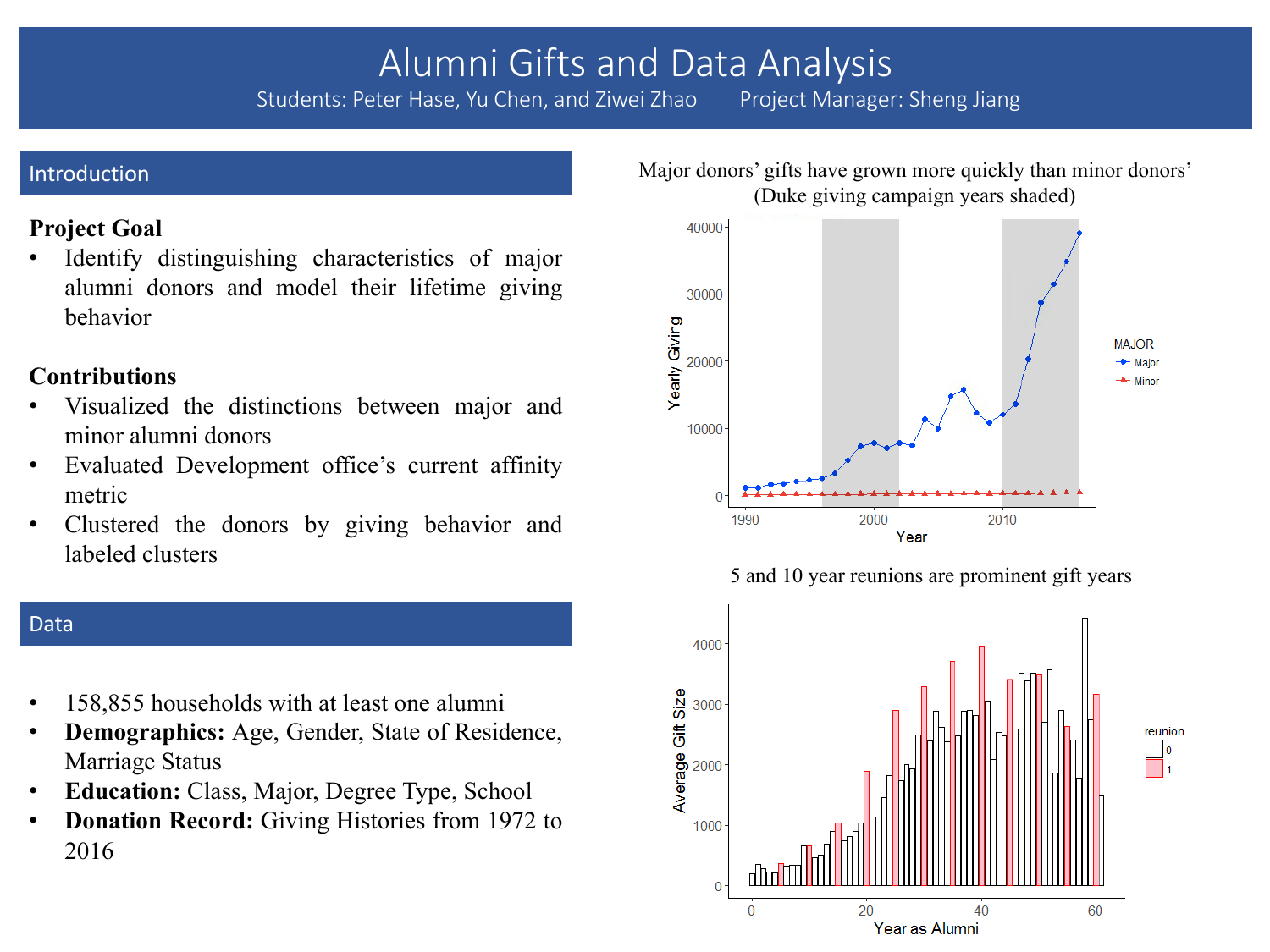# Alumni Gifts and Data Analysis<br>ter Hase, Yu Chen, and Ziwei Zhao Project Manager: Sheng Jiang

Students: Peter Hase, Yu Chen, and Ziwei Zhao

#### Introduction

# **Project Goal**

Identify distinguishing characteristics of major alumni donors and model their lifetime giving behavior

# **Contributions**

- Visualized the distinctions between major and minor alumni donors
- Evaluated Development office's current affinity metric
- Clustered the donors by giving behavior and labeled clusters

#### Data

- 158,855 households with at least one alumni
- **Demographics:** Age, Gender, State of Residence, Marriage Status
- **Education:** Class, Major, Degree Type, School
- **Donation Record:** Giving Histories from 1972 to 2016

#### Major donors' gifts have grown more quickly than minor donors' (Duke giving campaign years shaded)



5 and 10 year reunions are prominent gift years

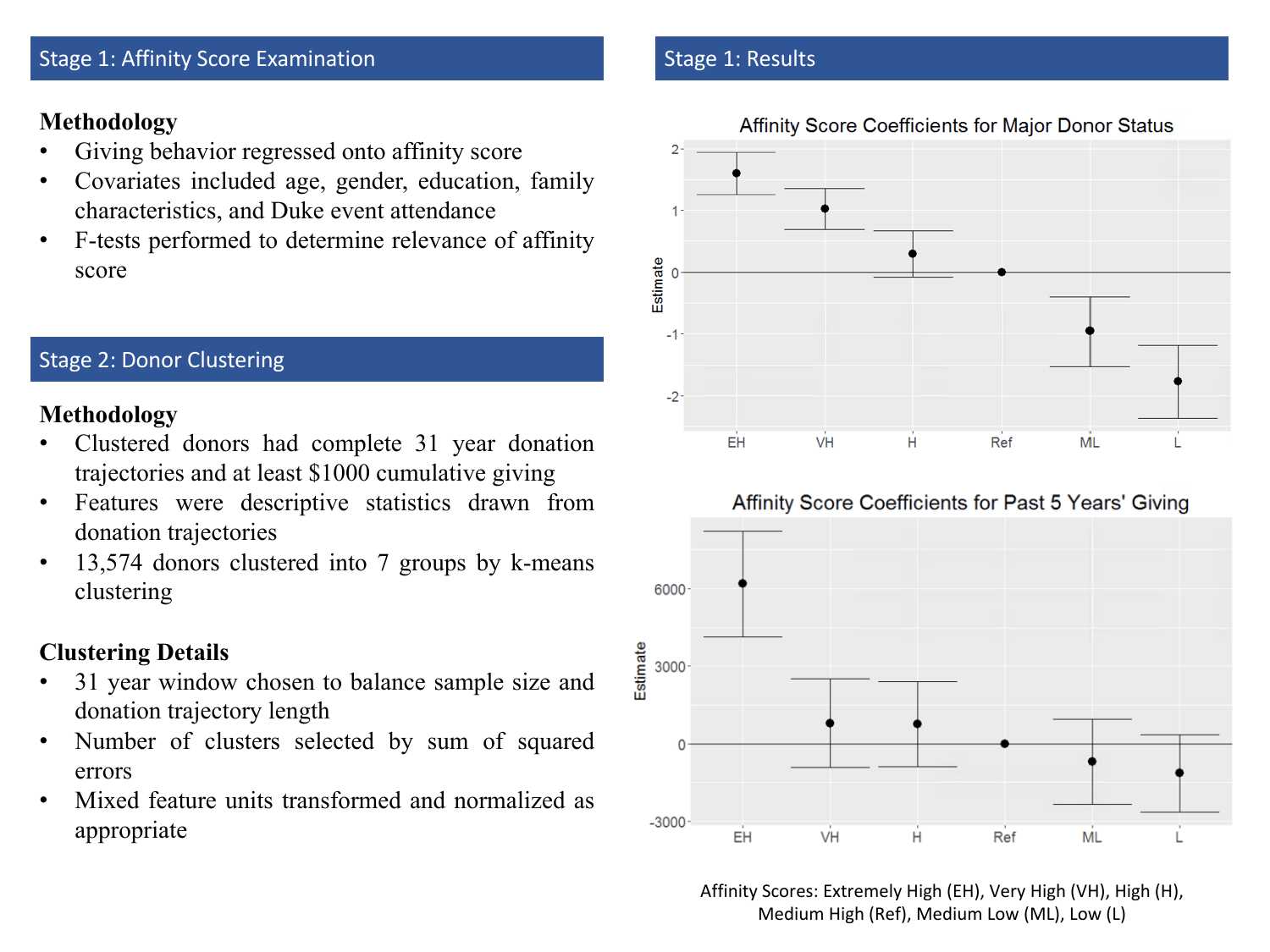#### Stage 1: Affinity Score Examination

## **Methodology**

- Giving behavior regressed onto affinity score
- Covariates included age, gender, education, family characteristics, and Duke event attendance
- F-tests performed to determine relevance of affinity score

### Stage 2: Donor Clustering

## **Methodology**

- Clustered donors had complete 31 year donation trajectories and at least \$1000 cumulative giving
- Features were descriptive statistics drawn from donation trajectories
- 13,574 donors clustered into 7 groups by k-means clustering

# **Clustering Details**

- 31 year window chosen to balance sample size and donation trajectory length
- Number of clusters selected by sum of squared errors
- Mixed feature units transformed and normalized as appropriate

#### Stage 1: Results







Affinity Scores: Extremely High (EH), Very High (VH), High (H), Medium High (Ref), Medium Low (ML), Low (L)